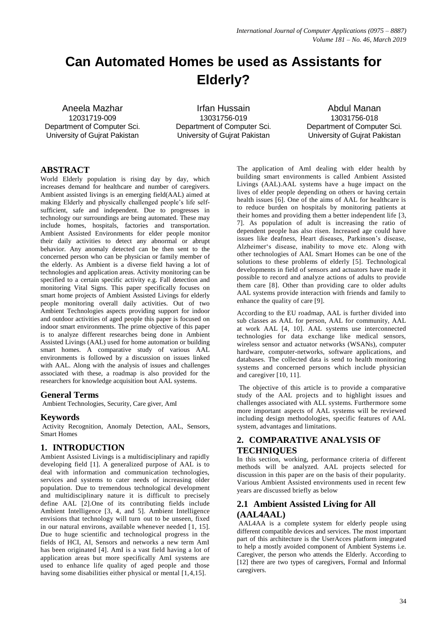# **Can Automated Homes be used as Assistants for Elderly?**

Aneela Mazhar 12031719-009 Department of Computer Sci. University of Gujrat Pakistan

Irfan Hussain 13031756-019 Department of Computer Sci. University of Gujrat Pakistan

Abdul Manan 13031756-018 Department of Computer Sci. University of Gujrat Pakistan

### **ABSTRACT**

World Elderly population is rising day by day, which increases demand for healthcare and number of caregivers. Ambient assisted livings is an emerging field(AAL) aimed at making Elderly and physically challenged people's life selfsufficient, safe and independent. Due to progresses in technology our surroundings are being automated. These may include homes, hospitals, factories and transportation. Ambient Assisted Environments for elder people monitor their daily activities to detect any abnormal or abrupt behavior. Any anomaly detected can be then sent to the concerned person who can be physician or family member of the elderly. As Ambient is a diverse field having a lot of technologies and application areas. Activity monitoring can be specified to a certain specific activity e.g. Fall detection and monitoring Vital Signs. This paper specifically focuses on smart home projects of Ambient Assisted Livings for elderly people monitoring overall daily activities. Out of two Ambient Technologies aspects providing support for indoor and outdoor activities of aged people this paper is focused on indoor smart environments. The prime objective of this paper is to analyze different researches being done in Ambient Assisted Livings (AAL) used for home automation or building smart homes. A comparative study of various AAL environments is followed by a discussion on issues linked with AAL. Along with the analysis of issues and challenges associated with these, a roadmap is also provided for the researchers for knowledge acquisition bout AAL systems.

#### **General Terms**

Ambient Technologies, Security, Care giver, AmI

#### **Keywords**

Activity Recognition, Anomaly Detection, AAL, Sensors, Smart Homes

### **1. INTRODUCTION**

Ambient Assisted Livings is a multidisciplinary and rapidly developing field [1]. A generalized purpose of AAL is to deal with information and communication technologies, services and systems to cater needs of increasing older population. Due to tremendous technological development and multidisciplinary nature it is difficult to precisely define AAL [2].One of its contributing fields include Ambient Intelligence [3, 4, and 5]. Ambient Intelligence envisions that technology will turn out to be unseen, fixed in our natural environs, available whenever needed [1, 15]. Due to huge scientific and technological progress in the fields of HCI, AI, Sensors and networks a new term AmI has been originated [4]. AmI is a vast field having a lot of application areas but more specifically AmI systems are used to enhance life quality of aged people and those having some disabilities either physical or mental [1,4,15].

The application of AmI dealing with elder health by building smart environments is called Ambient Assisted Livings (AAL).AAL systems have a huge impact on the lives of elder people depending on others or having certain health issues [6]. One of the aims of AAL for healthcare is to reduce burden on hospitals by monitoring patients at their homes and providing them a better independent life [3, 7]. As population of adult is increasing the ratio of dependent people has also risen. Increased age could have issues like deafness, Heart diseases, Parkinson's disease, Alzheimer's disease, inability to move etc. Along with other technologies of AAL Smart Homes can be one of the solutions to these problems of elderly [5]. Technological developments in field of sensors and actuators have made it possible to record and analyze actions of adults to provide them care [8]. Other than providing care to older adults AAL systems provide interaction with friends and family to enhance the quality of care [9].

According to the EU roadmap, AAL is further divided into sub classes as AAL for person, AAL for community, AAL at work AAL [4, 10]. AAL systems use interconnected technologies for data exchange like medical sensors, wireless sensor and actuator networks (WSANs), computer hardware, computer-networks, software applications, and databases. The collected data is send to health monitoring systems and concerned persons which include physician and caregiver [10, 11].

The objective of this article is to provide a comparative study of the AAL projects and to highlight issues and challenges associated with ALL systems. Furthermore some more important aspects of AAL systems will be reviewed including design methodologies, specific features of AAL system, advantages and limitations.

# **2. COMPARATIVE ANALYSIS OF TECHNIQUES**

In this section, working, performance criteria of different methods will be analyzed. AAL projects selected for discussion in this paper are on the basis of their popularity. Various Ambient Assisted environments used in recent few years are discussed briefly as below

# **2.1 Ambient Assisted Living for All (AAL4AAL)**

AAL4AA is a complete system for elderly people using different compatible devices and services. The most important part of this architecture is the UserAcces platform integrated to help a mostly avoided component of Ambient Systems i.e. Caregiver, the person who attends the Elderly. According to [12] there are two types of caregivers, Formal and Informal caregivers.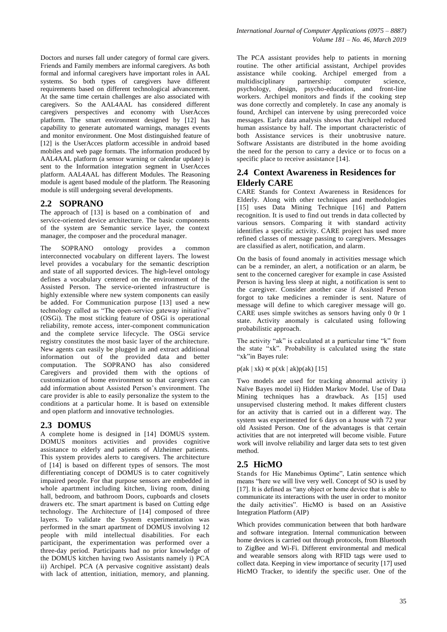Doctors and nurses fall under category of formal care givers. Friends and Family members are informal caregivers. As both formal and informal caregivers have important roles in AAL systems. So both types of caregivers have different requirements based on different technological advancement. At the same time certain challenges are also associated with caregivers. So the AAL4AAL has considered different caregivers perspectives and economy with UserAcces platform. The smart environment designed by [12] has capability to generate automated warnings, manages events and monitor environment. One Most distinguished feature of [12] is the UserAcces platform accessible in android based mobiles and web page formats. The information produced by AAL4AAL platform (a sensor warning or calendar update) is sent to the Information integration segment in UserAcces platform. AAL4AAL has different Modules. The Reasoning module is agent based module of the platform. The Reasoning module is still undergoing several developments.

## **2.2 SOPRANO**

The approach of [13] is based on a combination of and service-oriented device architecture. The basic components of the system are Semantic service layer, the context manager, the composer and the procedural manager.

The SOPRANO ontology provides a common interconnected vocabulary on different layers. The lowest level provides a vocabulary for the semantic description and state of all supported devices. The high-level ontology defines a vocabulary centered on the environment of the Assisted Person. The service-oriented infrastructure is highly extensible where new system components can easily be added. For Communication purpose [13] used a new technology called as "The open-service gateway initiative" (OSGi). The most sticking feature of OSGi is operational reliability, remote access, inter-component communication and the complete service lifecycle. The OSGi service registry constitutes the most basic layer of the architecture. New agents can easily be plugged in and extract additional information out of the provided data and better computation. The SOPRANO has also considered Caregivers and provided them with the options of customization of home environment so that caregivers can add information about Assisted Person's environment. The care provider is able to easily personalize the system to the conditions at a particular home. It is based on extensible and open platform and innovative technologies.

### **2.3 DOMUS**

A complete home is designed in [14] DOMUS system. DOMUS monitors activities and provides cognitive assistance to elderly and patients of Alzheimer patients. This system provides alerts to caregivers. The architecture of [14] is based on different types of sensors. The most differentiating concept of DOMUS is to cater cognitively impaired people. For that purpose sensors are embedded in whole apartment including kitchen, living room, dining hall, bedroom, and bathroom Doors, cupboards and closets drawers etc. The smart apartment is based on Cutting edge technology. The Architecture of [14] composed of three layers. To validate the System experimentation was performed in the smart apartment of DOMUS involving 12 people with mild intellectual disabilities. For each participant, the experimentation was performed over a three-day period. Participants had no prior knowledge of the DOMUS kitchen having two Assistants namely i) PCA ii) Archipel. PCA (A pervasive cognitive assistant) deals with lack of attention, initiation, memory, and planning.

The PCA assistant provides help to patients in morning routine. The other artificial assistant, Archipel provides assistance while cooking. Archipel emerged from a multidisciplinary partnership: computer science, psychology, design, psycho-education, and front-line workers. Archipel monitors and finds if the cooking step was done correctly and completely. In case any anomaly is found, Archipel can intervene by using prerecorded voice messages. Early data analysis shows that Archipel reduced human assistance by half. The important characteristic of both Assistance services is their unobtrusive nature. Software Assistants are distributed in the home avoiding the need for the person to carry a device or to focus on a specific place to receive assistance [14].

### **2.4 Context Awareness in Residences for Elderly CARE**

CARE Stands for Context Awareness in Residences for Elderly. Along with other techniques and methodologies [15] uses Data Mining Technique [16] and Pattern recognition. It is used to find out trends in data collected by various sensors. Comparing it with standard activity identifies a specific activity. CARE project has used more refined classes of message passing to caregivers. Messages are classified as alert, notification, and alarm.

On the basis of found anomaly in activities message which can be a reminder, an alert, a notification or an alarm, be sent to the concerned caregiver for example in case Assisted Person is having less sleep at night, a notification is sent to the caregiver. Consider another case if Assisted Person forgot to take medicines a reminder is sent. Nature of message will define to which caregiver message will go. CARE uses simple switches as sensors having only 0 0r 1 state. Activity anomaly is calculated using following probabilistic approach.

The activity "ak" is calculated at a particular time "k" from the state "xk". Probability is calculated using the state "xk"in Bayes rule:

 $p(ak | xk) \propto p(xk | ak)p(ak)$  [15]

Two models are used for tracking abnormal activity i) Naïve Bayes model ii) Hidden Markov Model. Use of Data Mining techniques has a drawback. As [15] used unsupervised clustering method. It makes different clusters for an activity that is carried out in a different way. The system was experimented for 6 days on a house with 72 year old Assisted Person. One of the advantages is that certain activities that are not interpreted will become visible. Future work will involve reliability and larger data sets to test given method.

### **2.5 HicMO**

Stands for Hic Manebimus Optime", Latin sentence which means "here we will live very well. Concept of SO is used by [17]. It is defined as "any object or home device that is able to communicate its interactions with the user in order to monitor the daily activities". HicMO is based on an Assistive Integration Platform (AIP)

Which provides communication between that both hardware and software integration. Internal communication between home devices is carried out through protocols, from Bluetooth to ZigBee and Wi-Fi. Different environmental and medical and wearable sensors along with RFID tags were used to collect data. Keeping in view importance of security [17] used HicMO Tracker, to identify the specific user. One of the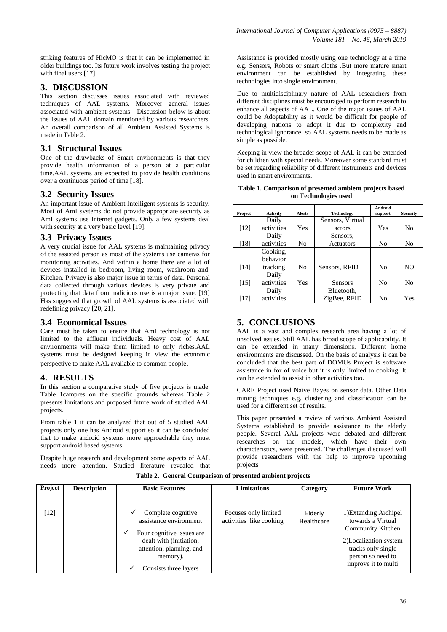striking features of HicMO is that it can be implemented in older buildings too. Its future work involves testing the project with final users [17].

## **3. DISCUSSION**

This section discusses issues associated with reviewed techniques of AAL systems. Moreover general issues associated with ambient systems. Discussion below is about the Issues of AAL domain mentioned by various researchers. An overall comparison of all Ambient Assisted Systems is made in Table 2.

### **3.1 Structural Issues**

One of the drawbacks of Smart environments is that they provide health information of a person at a particular time.AAL systems are expected to provide health conditions over a continuous period of time [18].

### **3.2 Security Issues**

An important issue of Ambient Intelligent systems is security. Most of AmI systems do not provide appropriate security as AmI systems use Internet gadgets. Only a few systems deal with security at a very basic level [19].

#### **3.3 Privacy Issues**

A very crucial issue for AAL systems is maintaining privacy of the assisted person as most of the systems use cameras for monitoring activities. And within a home there are a lot of devices installed in bedroom, living room, washroom and. Kitchen. Privacy is also major issue in terms of data. Personal data collected through various devices is very private and protecting that data from malicious use is a major issue. [19] Has suggested that growth of AAL systems is associated with redefining privacy [20, 21].

### **3.4 Economical Issues**

Care must be taken to ensure that AmI technology is not limited to the affluent individuals. Heavy cost of AAL environments will make them limited to only riches.AAL systems must be designed keeping in view the economic perspective to make AAL available to common people.

### **4. RESULTS**

In this section a comparative study of five projects is made. Table 1campres on the specific grounds whereas Table 2 presents limitations and proposed future work of studied AAL projects.

From table 1 it can be analyzed that out of 5 studied AAL projects only one has Android support so it can be concluded that to make android systems more approachable they must support android based systems

Despite huge research and development some aspects of AAL needs more attention. Studied literature revealed that

Assistance is provided mostly using one technology at a time e.g. Sensors, Robots or smart cloths .But more mature smart environment can be established by integrating these technologies into single environment.

Due to multidisciplinary nature of AAL researchers from different disciplines must be encouraged to perform research to enhance all aspects of AAL. One of the major issues of AAL could be Adoptability as it would be difficult for people of developing nations to adopt it due to complexity and technological ignorance so AAL systems needs to be made as simple as possible.

Keeping in view the broader scope of AAL it can be extended for children with special needs. Moreover some standard must be set regarding reliability of different instruments and devices used in smart environments.

| Table 1. Comparison of presented ambient projects based |  |  |  |  |  |  |
|---------------------------------------------------------|--|--|--|--|--|--|
| on Technologies used                                    |  |  |  |  |  |  |

|         |                 |                |                   | Android        |                 |
|---------|-----------------|----------------|-------------------|----------------|-----------------|
| Project | <b>Activity</b> | <b>Alerts</b>  | <b>Technology</b> | support        | <b>Security</b> |
|         | Daily           |                | Sensors, Virtual  |                |                 |
| [12]    | activities      | Yes            | actors            | Yes            | No              |
|         | Daily           |                | Sensors,          |                |                 |
| [18]    | activities      | No             | Actuators         | N <sub>0</sub> | No              |
|         | Cooking,        |                |                   |                |                 |
|         | behavior        |                |                   |                |                 |
| [14]    | tracking        | N <sub>0</sub> | Sensors, RFID     | No             | NO              |
|         | Daily           |                |                   |                |                 |
| $[15]$  | activities      | Yes            | Sensors           | No             | No              |
|         | Daily           |                | Bluetooth,        |                |                 |
| [17]    | activities      |                | ZigBee, RFID      | No             | Yes             |

# **5. CONCLUSIONS**

AAL is a vast and complex research area having a lot of unsolved issues. Still AAL has broad scope of applicability. It can be extended in many dimensions. Different home environments are discussed. On the basis of analysis it can be concluded that the best part of DOMUs Project is software assistance in for of voice but it is only limited to cooking. It can be extended to assist in other activities too.

CARE Project used Naïve Bayes on sensor data. Other Data mining techniques e.g. clustering and classification can be used for a different set of results.

This paper presented a review of various Ambient Assisted Systems established to provide assistance to the elderly people. Several AAL projects were debated and different researches on the models, which have their own characteristics, were presented. The challenges discussed will provide researchers with the help to improve upcoming projects

| Project | <b>Description</b> | <b>Basic Features</b>                                                                                                                                                      | <b>Limitations</b>                              | Category              | <b>Future Work</b>                                                                                                                                         |
|---------|--------------------|----------------------------------------------------------------------------------------------------------------------------------------------------------------------------|-------------------------------------------------|-----------------------|------------------------------------------------------------------------------------------------------------------------------------------------------------|
|         |                    |                                                                                                                                                                            |                                                 |                       |                                                                                                                                                            |
| $[12]$  |                    | Complete cognitive<br>assistance environment<br>Four cognitive issues are<br>✓<br>dealt with (initiation,<br>attention, planning, and<br>memory).<br>Consists three layers | Focuses only limited<br>activities like cooking | Elderly<br>Healthcare | 1) Extending Archipel<br>towards a Virtual<br>Community Kitchen<br>2)Localization system<br>tracks only single<br>person so need to<br>improve it to multi |

**Table 2. General Comparison of presented ambient projects**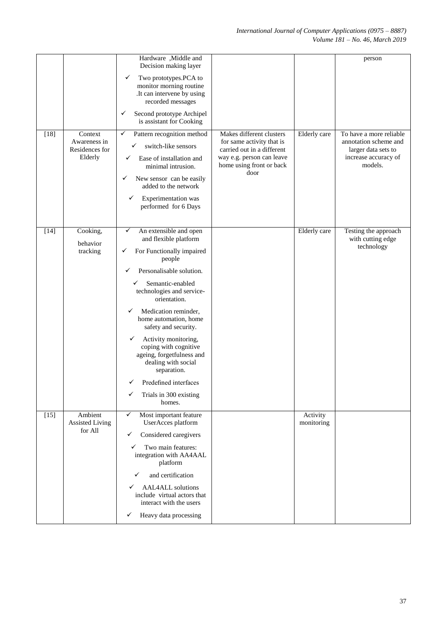| $[18]$ | Context<br>Awareness in<br>Residences for<br>Elderly | Hardware, Middle and<br>Decision making layer<br>Two prototypes.PCA to<br>✓<br>monitor morning routine<br>.It can intervene by using<br>recorded messages<br>✓<br>Second prototype Archipel<br>is assistant for Cooking<br>✓<br>Pattern recognition method<br>switch-like sensors<br>✓<br>Ease of installation and<br>✓<br>minimal intrusion.<br>New sensor can be easily<br>✓<br>added to the network<br>Experimentation was<br>✓<br>performed for 6 Days                                  | Makes different clusters<br>for same activity that is<br>carried out in a different<br>way e.g. person can leave<br>home using front or back<br>door | Elderly care           | person<br>To have a more reliable<br>annotation scheme and<br>larger data sets to<br>increase accuracy of<br>models. |
|--------|------------------------------------------------------|---------------------------------------------------------------------------------------------------------------------------------------------------------------------------------------------------------------------------------------------------------------------------------------------------------------------------------------------------------------------------------------------------------------------------------------------------------------------------------------------|------------------------------------------------------------------------------------------------------------------------------------------------------|------------------------|----------------------------------------------------------------------------------------------------------------------|
| $[14]$ | Cooking,<br>behavior<br>tracking                     | An extensible and open<br>✓<br>and flexible platform<br>For Functionally impaired<br>✓<br>people<br>Personalisable solution.<br>✓<br>Semantic-enabled<br>technologies and service-<br>orientation.<br>Medication reminder,<br>✓<br>home automation, home<br>safety and security.<br>Activity monitoring,<br>$\checkmark$<br>coping with cognitive<br>ageing, forgetfulness and<br>dealing with social<br>separation.<br>Predefined interfaces<br>✓<br>Trials in 300 existing<br>✓<br>homes. |                                                                                                                                                      | <b>Elderly</b> care    | Testing the approach<br>with cutting edge<br>technology                                                              |
| $[15]$ | Ambient<br><b>Assisted Living</b><br>for All         | ✓<br>Most important feature<br>UserAcces platform<br>Considered caregivers<br>✓<br>Two main features:<br>✓<br>integration with AA4AAL<br>platform<br>and certification<br>✓<br><b>AAL4ALL</b> solutions<br>✓<br>include virtual actors that<br>interact with the users<br>Heavy data processing<br>✓                                                                                                                                                                                        |                                                                                                                                                      | Activity<br>monitoring |                                                                                                                      |